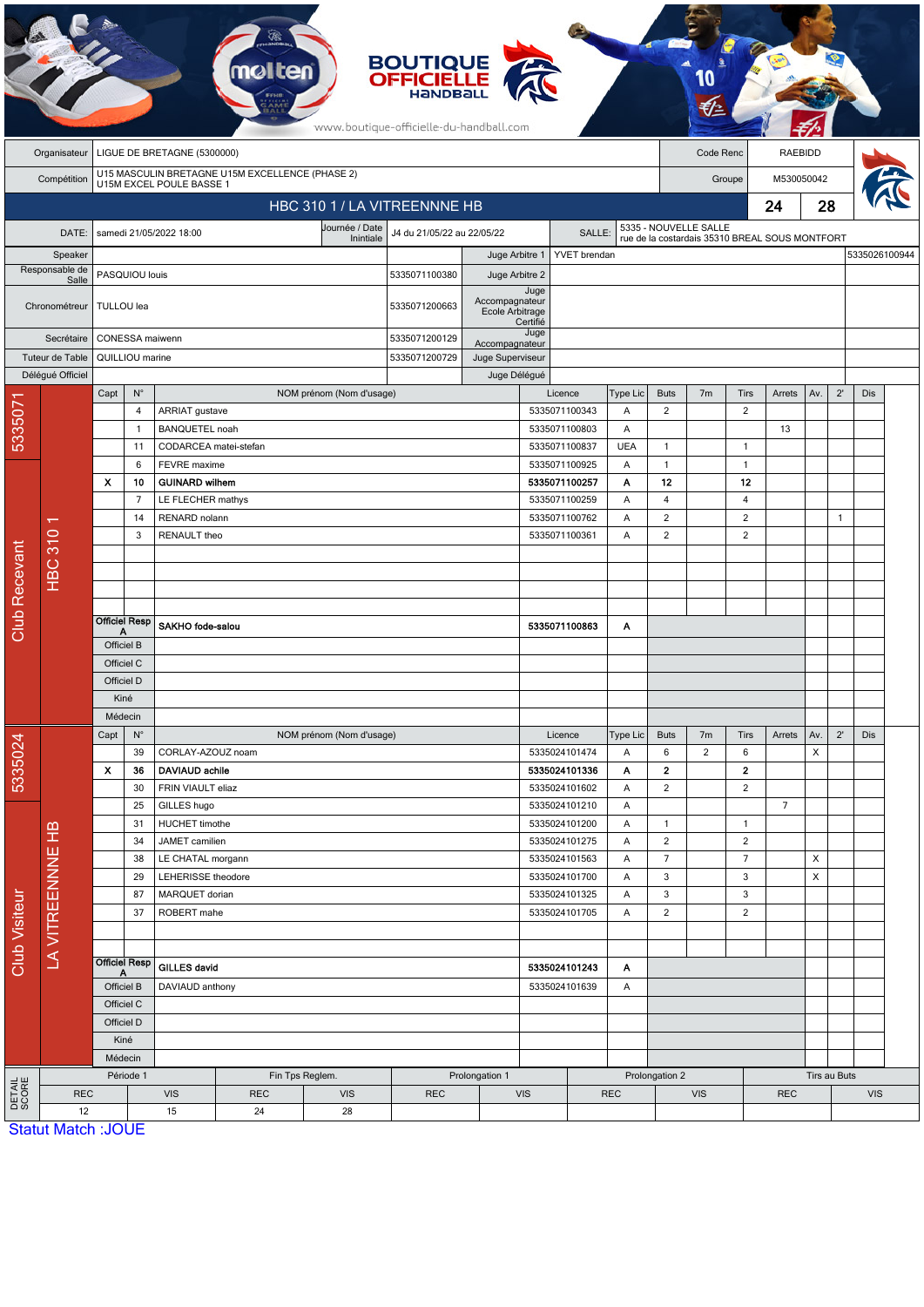|                              | <b>BOUTIQUE</b><br><b>OFFICIELLE</b><br>HANDBALL<br>www.boutique-officielle-du-handball.com |                                       |                                      |                                      |                                    |                          |                                      |                  |                                     |                                          |                |                                                |                       |                               |                |                |              |            |  |
|------------------------------|---------------------------------------------------------------------------------------------|---------------------------------------|--------------------------------------|--------------------------------------|------------------------------------|--------------------------|--------------------------------------|------------------|-------------------------------------|------------------------------------------|----------------|------------------------------------------------|-----------------------|-------------------------------|----------------|----------------|--------------|------------|--|
|                              | Organisateur                                                                                | LIGUE DE BRETAGNE (5300000)           |                                      |                                      |                                    |                          |                                      |                  |                                     |                                          |                | Code Renc                                      |                       |                               |                | <b>RAEBIDD</b> |              |            |  |
|                              | U15 MASCULIN BRETAGNE U15M EXCELLENCE (PHASE 2)<br>Compétition<br>U15M EXCEL POULE BASSE 1  |                                       |                                      |                                      |                                    |                          |                                      |                  |                                     |                                          |                | Groupe                                         |                       |                               | M530050042     |                |              |            |  |
| HBC 310 1 / LA VITREENNNE HB |                                                                                             |                                       |                                      |                                      |                                    |                          |                                      |                  |                                     |                                          |                |                                                |                       |                               | 24             | 28             |              |            |  |
|                              | DATE:                                                                                       |                                       |                                      | samedi 21/05/2022 18:00              |                                    | Journée / Date           | J4 du 21/05/22 au 22/05/22<br>SALLE: |                  |                                     |                                          |                |                                                | 5335 - NOUVELLE SALLE |                               |                |                |              |            |  |
| Speaker                      |                                                                                             |                                       |                                      |                                      |                                    | Inintiale                |                                      | Juge Arbitre 1   |                                     | YVET brendan                             |                | rue de la costardais 35310 BREAL SOUS MONTFORT |                       |                               |                | 5335026100944  |              |            |  |
|                              | Responsable de<br>Salle                                                                     | PASQUIOU louis                        |                                      |                                      |                                    |                          | 5335071100380                        | Juge Arbitre 2   |                                     |                                          |                |                                                |                       |                               |                |                |              |            |  |
| Chronométreur                |                                                                                             | TULLOU lea                            |                                      |                                      |                                    |                          | 5335071200663                        | Accompagnateur   | Juge<br>Ecole Arbitrage<br>Certifié |                                          |                |                                                |                       |                               |                |                |              |            |  |
| Secrétaire                   |                                                                                             | CONESSA maiwenn                       |                                      |                                      |                                    |                          | 5335071200129                        | Accompagnateur   | Juge                                |                                          |                |                                                |                       |                               |                |                |              |            |  |
| Tuteur de Table              |                                                                                             |                                       | QUILLIOU marine                      |                                      |                                    |                          |                                      | Juge Superviseur |                                     |                                          |                |                                                |                       |                               |                |                |              |            |  |
|                              | Déléqué Officiel                                                                            |                                       |                                      |                                      |                                    |                          |                                      | Juge Délégué     |                                     |                                          |                |                                                |                       |                               |                |                |              |            |  |
|                              |                                                                                             | Capt                                  | $\mathsf{N}^\circ$<br>$\overline{4}$ | <b>ARRIAT</b> gustave                |                                    | NOM prénom (Nom d'usage) |                                      |                  |                                     | Licence<br>5335071100343                 | Type Lic<br>Α  | <b>Buts</b><br>$\overline{2}$                  | 7 <sub>m</sub>        | <b>Tirs</b><br>$\overline{2}$ | Arrets         | Av.            | $2^{\prime}$ | <b>Dis</b> |  |
| 533507                       |                                                                                             |                                       | $\mathbf{1}$                         | <b>BANQUETEL noah</b>                |                                    |                          |                                      |                  |                                     | 5335071100803                            | A              |                                                |                       |                               | 13             |                |              |            |  |
|                              |                                                                                             |                                       | 11                                   | CODARCEA matei-stefan                |                                    |                          |                                      |                  |                                     | 5335071100837                            | <b>UEA</b>     | $\mathbf{1}$                                   |                       | $\mathbf{1}$                  |                |                |              |            |  |
|                              |                                                                                             |                                       | 6                                    | FEVRE maxime                         |                                    |                          |                                      |                  |                                     | 5335071100925                            | Α              | $\mathbf{1}$                                   |                       | $\mathbf{1}$                  |                |                |              |            |  |
|                              |                                                                                             | $\mathbf{x}$<br>10                    |                                      | <b>GUINARD wilhem</b>                |                                    |                          |                                      |                  |                                     | 5335071100257                            | Α              | 12                                             |                       | 12                            |                |                |              |            |  |
|                              |                                                                                             |                                       | $\overline{7}$<br>14                 |                                      | LE FLECHER mathys<br>RENARD nolann |                          |                                      |                  |                                     | 5335071100259<br>Α<br>5335071100762<br>Α |                | $\overline{4}$<br>$\overline{2}$               |                       | 4<br>$\overline{2}$           |                |                | $\mathbf{1}$ |            |  |
|                              |                                                                                             |                                       | 3<br>RENAULT theo                    |                                      |                                    |                          |                                      |                  |                                     | 5335071100361                            | A              | $\overline{2}$                                 |                       | $\overline{2}$                |                |                |              |            |  |
|                              |                                                                                             |                                       |                                      |                                      |                                    |                          |                                      |                  |                                     |                                          |                |                                                |                       |                               |                |                |              |            |  |
|                              | <b>HBC 310</b>                                                                              |                                       |                                      |                                      |                                    |                          |                                      |                  |                                     |                                          |                |                                                |                       |                               |                |                |              |            |  |
|                              |                                                                                             |                                       |                                      |                                      |                                    |                          |                                      |                  |                                     |                                          |                |                                                |                       |                               |                |                |              |            |  |
| <b>Club Recevant</b>         |                                                                                             |                                       | <b>Officiel Resp</b>                 | SAKHO fode-salou                     |                                    |                          |                                      |                  |                                     | 5335071100863                            | Α              |                                                |                       |                               |                |                |              |            |  |
|                              |                                                                                             | Α<br>Officiel B                       |                                      |                                      |                                    |                          |                                      |                  |                                     |                                          |                |                                                |                       |                               |                |                |              |            |  |
|                              |                                                                                             | Officiel C                            |                                      |                                      |                                    |                          |                                      |                  |                                     |                                          |                |                                                |                       |                               |                |                |              |            |  |
|                              |                                                                                             | Officiel D                            |                                      |                                      |                                    |                          |                                      |                  |                                     |                                          |                |                                                |                       |                               |                |                |              |            |  |
|                              |                                                                                             | Kiné                                  |                                      |                                      |                                    |                          |                                      |                  |                                     |                                          |                |                                                |                       |                               |                |                |              |            |  |
|                              |                                                                                             | Médecin<br>Capt<br>$\mathsf{N}^\circ$ |                                      |                                      |                                    | NOM prénom (Nom d'usage) |                                      |                  |                                     | Licence                                  | Type Lic       | <b>Buts</b>                                    | 7m                    | Tirs                          | Arrets         | Av.            | $2^{\prime}$ | Dis        |  |
|                              |                                                                                             |                                       | 39                                   | CORLAY-AZOUZ noam                    |                                    |                          |                                      |                  |                                     | 5335024101474                            | Α              | $\boldsymbol{6}$                               | 2                     | $\boldsymbol{6}$              |                | X              |              |            |  |
| 5335024                      |                                                                                             | $\boldsymbol{\mathsf{x}}$             | 36                                   | DAVIAUD achile                       |                                    |                          |                                      |                  |                                     | 5335024101336                            | Α              | $\overline{\mathbf{2}}$                        |                       | $\mathbf{2}$                  |                |                |              |            |  |
|                              |                                                                                             | 30                                    |                                      | FRIN VIAULT eliaz                    |                                    |                          |                                      |                  |                                     | 5335024101602                            | Α              | $\overline{2}$                                 |                       | $\sqrt{2}$                    |                |                |              |            |  |
|                              |                                                                                             |                                       | 25<br>31                             | GILLES hugo<br><b>HUCHET</b> timothe |                                    |                          |                                      |                  |                                     | 5335024101210<br>5335024101200           | Α              | $\mathbf{1}$                                   |                       |                               | $\overline{7}$ |                |              |            |  |
|                              |                                                                                             |                                       | 34<br>JAMET camilien                 |                                      |                                    |                          |                                      | 5335024101275    | Α<br>Α                              | $\overline{2}$                           |                | $\mathbf{1}$<br>$\overline{c}$                 |                       |                               |                |                |              |            |  |
| Club Visiteur                | LA VITREENNNE HB                                                                            | 38<br>29<br>87                        |                                      | LE CHATAL morgann                    |                                    |                          | 5335024101563                        |                  |                                     | Α                                        | $\overline{7}$ |                                                | $\overline{7}$        |                               | X              |                |              |            |  |
|                              |                                                                                             |                                       |                                      | LEHERISSE theodore<br>MARQUET dorian |                                    |                          |                                      |                  | 5335024101700<br>5335024101325      |                                          | Α              | $\mathbf{3}$                                   |                       | $\sqrt{3}$                    |                | X              |              |            |  |
|                              |                                                                                             |                                       |                                      |                                      |                                    |                          |                                      |                  |                                     |                                          | Α<br>Α         | $\mathbf{3}$                                   |                       | $\sqrt{3}$                    |                |                |              |            |  |
|                              |                                                                                             |                                       | 37                                   | ROBERT mahe                          |                                    |                          |                                      |                  | 5335024101705                       |                                          | $\overline{2}$ |                                                | $\sqrt{2}$            |                               |                |                |              |            |  |
|                              |                                                                                             |                                       |                                      |                                      |                                    |                          |                                      |                  |                                     |                                          |                |                                                |                       |                               |                |                |              |            |  |
|                              |                                                                                             | <b>Officiel Resp</b>                  |                                      | <b>GILLES david</b>                  |                                    |                          | 5335024101243<br>Α                   |                  |                                     |                                          |                |                                                |                       |                               |                |                |              |            |  |
|                              |                                                                                             | Officiel B                            |                                      | DAVIAUD anthony                      |                                    |                          | 5335024101639<br>Α                   |                  |                                     |                                          |                |                                                |                       |                               |                |                |              |            |  |
|                              |                                                                                             | Officiel C<br>Officiel D              |                                      |                                      |                                    |                          |                                      |                  |                                     |                                          |                |                                                |                       |                               |                |                |              |            |  |
|                              |                                                                                             |                                       | Kiné                                 |                                      |                                    |                          |                                      |                  |                                     |                                          |                |                                                |                       |                               |                |                |              |            |  |
|                              |                                                                                             |                                       | Médecin                              |                                      |                                    |                          |                                      |                  |                                     |                                          |                |                                                |                       |                               |                |                |              |            |  |
|                              |                                                                                             |                                       | Période 1                            |                                      |                                    | Fin Tps Reglem.          |                                      | Prolongation 1   |                                     |                                          |                | Prolongation 2                                 |                       |                               |                |                | Tirs au Buts |            |  |
| <b>DETAIL</b><br>SCORE       | <b>REC</b>                                                                                  |                                       |                                      | <b>VIS</b>                           | <b>REC</b>                         | <b>VIS</b>               | <b>REC</b>                           |                  | <b>VIS</b>                          |                                          | <b>REC</b>     | <b>VIS</b>                                     |                       | <b>REC</b>                    |                |                | <b>VIS</b>   |            |  |
|                              | 12<br><b>Statut Match: JOUE</b>                                                             |                                       |                                      | 15                                   | 24                                 | 28                       |                                      |                  |                                     |                                          |                |                                                |                       |                               |                |                |              |            |  |